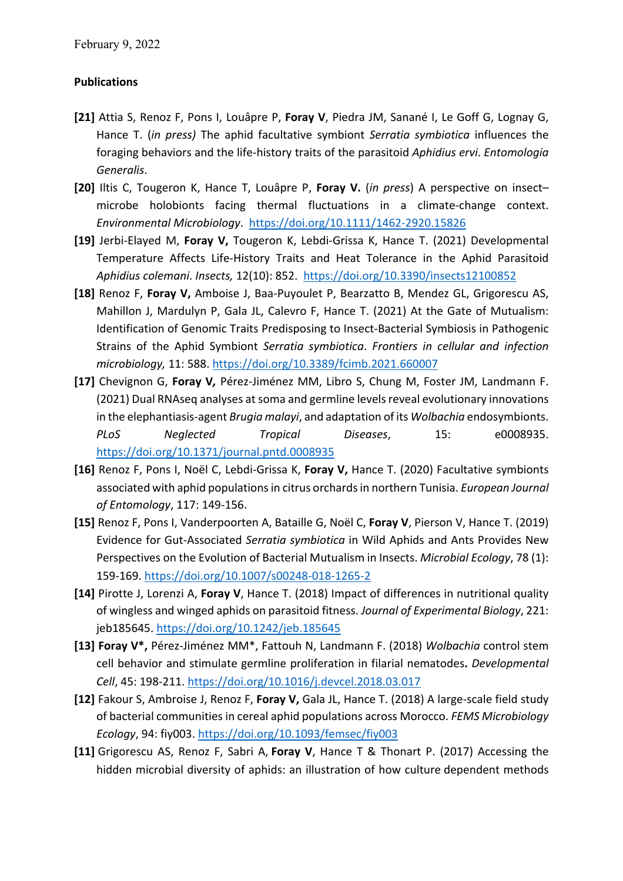## **Publications**

- **[21]** Attia S, Renoz F, Pons I, Louâpre P, **Foray V**, Piedra JM, Sanané I, Le Goff G, Lognay G, Hance T. (*in press)* The aphid facultative symbiont *Serratia symbiotica* influences the foraging behaviors and the life-history traits of the parasitoid *Aphidius ervi*. *Entomologia Generalis*.
- **[20]** Iltis C, Tougeron K, Hance T, Louâpre P, **Foray V.** (*in press*) A perspective on insect– microbe holobionts facing thermal fluctuations in a climate-change context. *Environmental Microbiology*. https://doi.org/10.1111/1462-2920.15826
- **[19]** Jerbi-Elayed M, **Foray V,** Tougeron K, Lebdi-Grissa K, Hance T. (2021) Developmental Temperature Affects Life-History Traits and Heat Tolerance in the Aphid Parasitoid *Aphidius colemani*. *Insects,* 12(10): 852. https://doi.org/10.3390/insects12100852
- **[18]** Renoz F, **Foray V,** Amboise J, Baa-Puyoulet P, Bearzatto B, Mendez GL, Grigorescu AS, Mahillon J, Mardulyn P, Gala JL, Calevro F, Hance T. (2021) At the Gate of Mutualism: Identification of Genomic Traits Predisposing to Insect-Bacterial Symbiosis in Pathogenic Strains of the Aphid Symbiont *Serratia symbiotica*. *Frontiers in cellular and infection microbiology,* 11: 588. https://doi.org/10.3389/fcimb.2021.660007
- **[17]** Chevignon G, **Foray V***,* Pérez-Jiménez MM, Libro S, Chung M, Foster JM, Landmann F. (2021) Dual RNAseq analyses at soma and germline levels reveal evolutionary innovations in the elephantiasis-agent *Brugia malayi*, and adaptation of its *Wolbachia* endosymbionts. *PLoS Neglected Tropical Diseases*, 15: e0008935. https://doi.org/10.1371/journal.pntd.0008935
- **[16]** Renoz F, Pons I, Noël C, Lebdi-Grissa K, **Foray V,** Hance T. (2020) Facultative symbionts associated with aphid populations in citrus orchards in northern Tunisia. *European Journal of Entomology*, 117: 149-156.
- **[15]** Renoz F, Pons I, Vanderpoorten A, Bataille G, Noël C, **Foray V**, Pierson V, Hance T. (2019) Evidence for Gut-Associated *Serratia symbiotica* in Wild Aphids and Ants Provides New Perspectives on the Evolution of Bacterial Mutualism in Insects. *Microbial Ecology*, 78 (1): 159-169. https://doi.org/10.1007/s00248-018-1265-2
- **[14]** Pirotte J, Lorenzi A, **Foray V**, Hance T. (2018) Impact of differences in nutritional quality of wingless and winged aphids on parasitoid fitness. *Journal of Experimental Biology*, 221: jeb185645. https://doi.org/10.1242/jeb.185645
- **[13] Foray V\*,** Pérez-Jiménez MM\*, Fattouh N, Landmann F. (2018) *Wolbachia* control stem cell behavior and stimulate germline proliferation in filarial nematodes**.** *Developmental Cell*, 45: 198-211. https://doi.org/10.1016/j.devcel.2018.03.017
- **[12]** Fakour S, Ambroise J, Renoz F, **Foray V,** Gala JL, Hance T. (2018) A large-scale field study of bacterial communities in cereal aphid populations across Morocco. *FEMS Microbiology Ecology*, 94: fiy003. https://doi.org/10.1093/femsec/fiy003
- **[11]** Grigorescu AS, Renoz F, Sabri A, **Foray V**, Hance T & Thonart P. (2017) Accessing the hidden microbial diversity of aphids: an illustration of how culture dependent methods